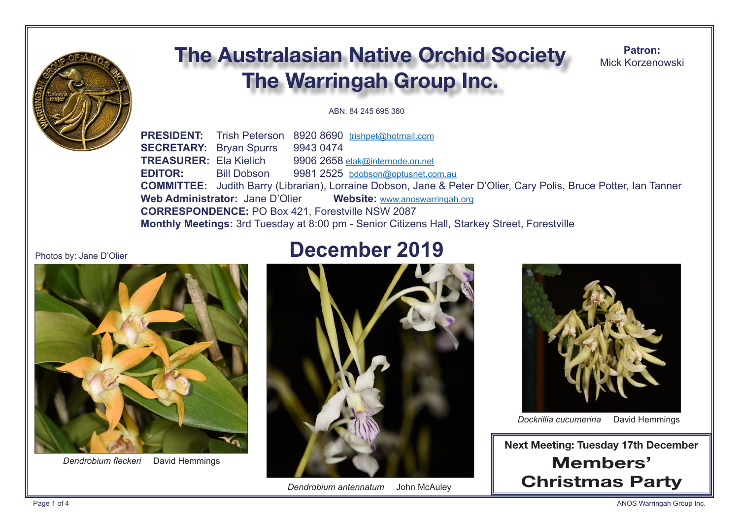

# **The Australasian Native Orchid Society** The Warringah Group Inc.

Patron: Mick Korzenowski

#### ABN: 84 245 695 380

**PRESIDENT:** Trish Peterson 8920 8690 trishpet@hotmail.com **SECRETARY:** Brvan Spurrs 9943 0474 **TREASURER: Ela Kielich** 9906 2658 elak@internode.on.net **EDITOR:** 9981 2525 bdobson@optusnet.com.au **Bill Dobson COMMITTEE:** Judith Barry (Librarian), Lorraine Dobson, Jane & Peter D'Olier, Cary Polis, Bruce Potter, Ian Tanner Web Administrator: Jane D'Olier Website: www.anoswarringah.org **CORRESPONDENCE: PO Box 421. Forestville NSW 2087** Monthly Meetings: 3rd Tuesday at 8:00 pm - Senior Citizens Hall, Starkey Street, Forestville

#### Photos by: Jane D'Olier



Dendrobium fleckeri David Hemmings

## **December 2019**



Dendrobium antennatum John McAuley



David Hemmings Dockrillia cucumerina

**Next Meeting: Tuesday 17th December** Members' **Christmas Party**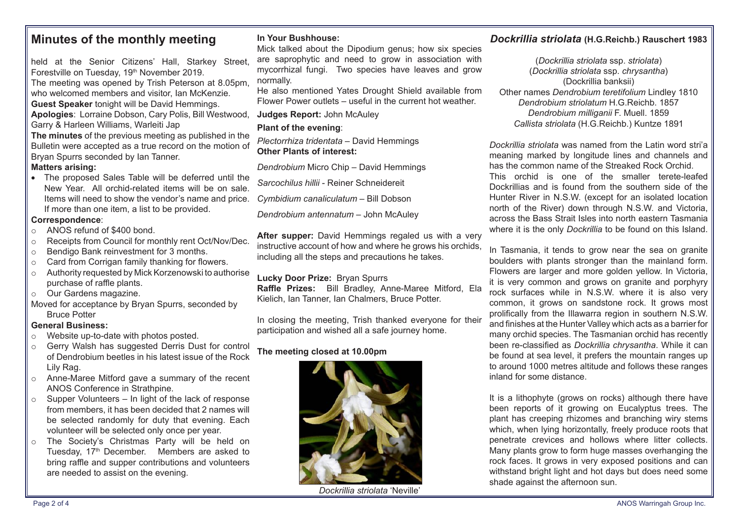## **Minutes of the monthly meeting**

held at the Senior Citizens' Hall, Starkey Street, Forestville on Tuesday, 19<sup>th</sup> November 2019. The meeting was opened by Trish Peterson at 8.05pm, who welcomed members and visitor, Ian McKenzie. **Guest Speaker** tonight will be David Hemmings. **Apologies**: Lorraine Dobson, Cary Polis, Bill Westwood, Garry & Harleen Williams, Warleiti Jap **The minutes** of the previous meeting as published in the Bulletin were accepted as a true record on the motion of Bryan Spurrs seconded by Ian Tanner.

#### **Matters arising:**

• The proposed Sales Table will be deferred until the New Year. All orchid-related items will be on sale. Items will need to show the vendor's name and price. If more than one item, a list to be provided.

#### **Correspondence**:

- o ANOS refund of \$400 bond.
- o Receipts from Council for monthly rent Oct/Nov/Dec.
- o Bendigo Bank reinvestment for 3 months.
- $\circ$  Card from Corrigan family thanking for flowers.
- o Authority requested by Mick Korzenowski to authorise purchase of raffle plants.
- o Our Gardens magazine.
- Moved for acceptance by Bryan Spurrs, seconded by Bruce Potter

#### **General Business:**

- o Website up-to-date with photos posted.
- o Gerry Walsh has suggested Derris Dust for control of Dendrobium beetles in his latest issue of the Rock Lily Rag.
- o Anne-Maree Mitford gave a summary of the recent ANOS Conference in Strathpine.
- $\circ$  Supper Volunteers In light of the lack of response from members, it has been decided that 2 names will be selected randomly for duty that evening. Each volunteer will be selected only once per year.
- o The Society's Christmas Party will be held on Tuesday, 17<sup>th</sup> December. Members are asked to bring raffle and supper contributions and volunteers are needed to assist on the evening.

#### **In Your Bushhouse:**

Mick talked about the Dipodium genus; how six species are saprophytic and need to grow in association with mycorrhizal fungi. Two species have leaves and grow normally.

He also mentioned Yates Drought Shield available from Flower Power outlets – useful in the current hot weather.

**Judges Report:** John McAuley

#### **Plant of the evening**:

*Plectorrhiza tridentata* – David Hemmings **Other Plants of interest:**

*Dendrobium* Micro Chip – David Hemmings

*Sarcochilus hillii* - Reiner Schneidereit

*Cymbidium canaliculatum* – Bill Dobson

*Dendrobium antennatum* – John McAuley

**After supper:** David Hemmings regaled us with a very instructive account of how and where he grows his orchids, including all the steps and precautions he takes.

#### **Lucky Door Prize:** Bryan Spurrs

**Raffle Prizes:** Bill Bradley, Anne-Maree Mitford, Ela Kielich, Ian Tanner, Ian Chalmers, Bruce Potter.

In closing the meeting, Trish thanked everyone for their participation and wished all a safe journey home.

#### **The meeting closed at 10.00pm**



*Dockrillia striolata* 'Neville'

## *Dockrillia striolata* **(H.G.Reichb.) Rauschert 1983**

(*Dockrillia striolata* ssp. *striolata*) (*Dockrillia striolata* ssp. *chrysantha*) (Dockrillia banksii) Other names *Dendrobium teretifolium* Lindley 1810 *Dendrobium striolatum* H.G.Reichb. 1857 *Dendrobium milliganii* F. Muell. 1859 *Callista striolata* (H.G.Reichb.) Kuntze 1891

*Dockrillia striolata* was named from the Latin word stri'a meaning marked by longitude lines and channels and has the common name of the Streaked Rock Orchid. This orchid is one of the smaller terete-leafed Dockrillias and is found from the southern side of the Hunter River in N.S.W. (except for an isolated location north of the River) down through N.S.W. and Victoria, across the Bass Strait Isles into north eastern Tasmania where it is the only *Dockrillia* to be found on this Island.

In Tasmania, it tends to grow near the sea on granite boulders with plants stronger than the mainland form. Flowers are larger and more golden yellow. In Victoria, it is very common and grows on granite and porphyry rock surfaces while in N.S.W. where it is also very common, it grows on sandstone rock. It grows most prolifcally from the Illawarra region in southern N.S.W. and finishes at the Hunter Valley which acts as a barrier for many orchid species. The Tasmanian orchid has recently been re-classifed as *Dockrillia chrysantha*. While it can be found at sea level, it prefers the mountain ranges up to around 1000 metres altitude and follows these ranges inland for some distance.

It is a lithophyte (grows on rocks) although there have been reports of it growing on Eucalyptus trees. The plant has creeping rhizomes and branching wiry stems which, when lying horizontally, freely produce roots that penetrate crevices and hollows where litter collects. Many plants grow to form huge masses overhanging the rock faces. It grows in very exposed positions and can withstand bright light and hot days but does need some shade against the afternoon sun.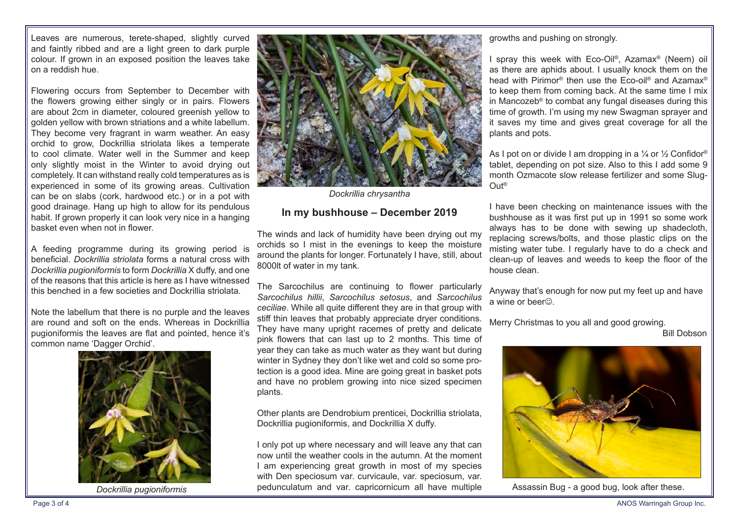Leaves are numerous, terete-shaped, slightly curved and faintly ribbed and are a light green to dark purple colour. If grown in an exposed position the leaves take on a reddish hue.

Flowering occurs from September to December with the fowers growing either singly or in pairs. Flowers are about 2cm in diameter, coloured greenish yellow to golden yellow with brown striations and a white labellum. They become very fragrant in warm weather. An easy orchid to grow, Dockrillia striolata likes a temperate to cool climate. Water well in the Summer and keep only slightly moist in the Winter to avoid drying out completely. It can withstand really cold temperatures as is experienced in some of its growing areas. Cultivation can be on slabs (cork, hardwood etc.) or in a pot with good drainage. Hang up high to allow for its pendulous habit. If grown properly it can look very nice in a hanging basket even when not in fower.

A feeding programme during its growing period is beneficial. *Dockrillia striolata* forms a natural cross with *Dockrillia pugioniformis* to form *Dockrillia* X dufy, and one of the reasons that this article is here as I have witnessed this benched in a few societies and Dockrillia striolata.

Note the labellum that there is no purple and the leaves are round and soft on the ends. Whereas in Dockrillia pugioniformis the leaves are flat and pointed, hence it's common name 'Dagger Orchid'.



*Dockrillia pugioniformis*



*Dockrillia chrysantha*

#### **In my bushhouse – December 2019**

The winds and lack of humidity have been drying out my orchids so I mist in the evenings to keep the moisture around the plants for longer. Fortunately I have, still, about 8000lt of water in my tank.

The Sarcochilus are continuing to flower particularly *Sarcochilus hillii*, *Sarcochilus setosus*, and *Sarcochilus ceciliae*. While all quite diferent they are in that group with stiff thin leaves that probably appreciate dryer conditions. They have many upright racemes of pretty and delicate pink flowers that can last up to 2 months. This time of year they can take as much water as they want but during winter in Sydney they don't like wet and cold so some protection is a good idea. Mine are going great in basket pots and have no problem growing into nice sized specimen plants.

Other plants are Dendrobium prenticei, Dockrillia striolata, Dockrillia pugioniformis, and Dockrillia X dufy.

I only pot up where necessary and will leave any that can now until the weather cools in the autumn. At the moment I am experiencing great growth in most of my species with Den speciosum var. curvicaule, var. speciosum, var. pedunculatum and var. capricornicum all have multiple

growths and pushing on strongly.

spray this week with Eco-Oil®, Azamax® (Neem) oil as there are aphids about. I usually knock them on the head with Pirimor<sup>®</sup> then use the Eco-oil<sup>®</sup> and Azamax<sup>®</sup> to keep them from coming back. At the same time I mix in Mancozeb® to combat any fungal diseases during this time of growth. I'm using my new Swagman sprayer and it saves my time and gives great coverage for all the plants and pots.

As I pot on or divide I am dropping in a  $\frac{1}{4}$  or  $\frac{1}{2}$  Confidor<sup>®</sup> tablet, depending on pot size. Also to this I add some 9 month Ozmacote slow release fertilizer and some Slug-Out®

I have been checking on maintenance issues with the bushhouse as it was first put up in 1991 so some work always has to be done with sewing up shadecloth, replacing screws/bolts, and those plastic clips on the misting water tube. I regularly have to do a check and clean-up of leaves and weeds to keep the floor of the house clean.

Anyway that's enough for now put my feet up and have a wine or beer $\odot$ 

Merry Christmas to you all and good growing.

Bill Dobson



Assassin Bug - a good bug, look after these.